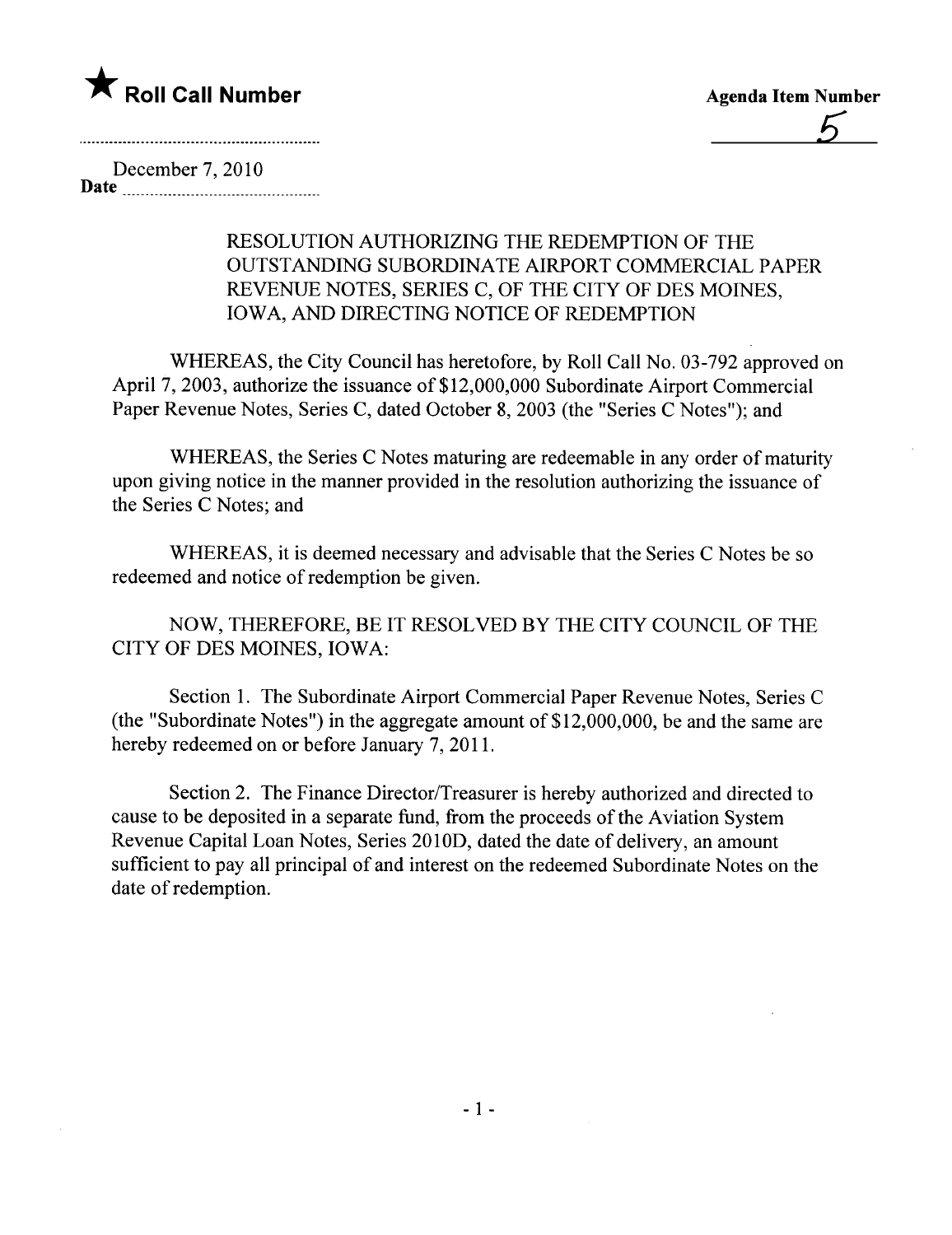

December 7,2010 Date

## RESOLUTION AUTHORIZING THE REDEMPTION OF THE OUTSTANDING SUBORDINATE AIRPORT COMMERCIAL PAPER REVENUE NOTES, SERIES C, OF THE CITY OF DES MOINES, IOWA, AND DIRECTING NOTICE OF REDEMPTION

WHEREAS, the City Council has heretofore, by Roll Call No. 03-792 approved on April 7, 2003, authorize the issuance of \$12,000,000 Subordinate Airport Commercial Paper Revenue Notes, Series C, dated October 8, 2003 (the "Series C Notes"); and

WHEREAS, the Series C Notes maturing are redeemable in any order of maturity upon giving notice in the manner provided in the resolution authorizing the issuance of the Series C Notes; and

WHEREAS, it is deemed necessary and advisable that the Series C Notes be so redeemed and notice of redemption be given.

NOW, THEREFORE, BE IT RESOLVED BY THE CITY COUNCIL OF THE CITY OF DES MOINES, IOWA:

Section 1. The Subordinate Airport Commercial Paper Revenue Notes, Series C (the "Subordinate Notes") in the aggregate amount of  $$12,000,000$ , be and the same are hereby redeemed on or before January 7, 2011.

Section 2. The Finance Director/Treasurer is hereby authorized and directed to cause to be deposited in a separate fund, from the proceeds of the Aviation System Revenue Capital Loan Notes, Series 2010D, dated the date of delivery, an amount sufficient to pay all principal of and interest on the redeemed Subordinate Notes on the date of redemption.